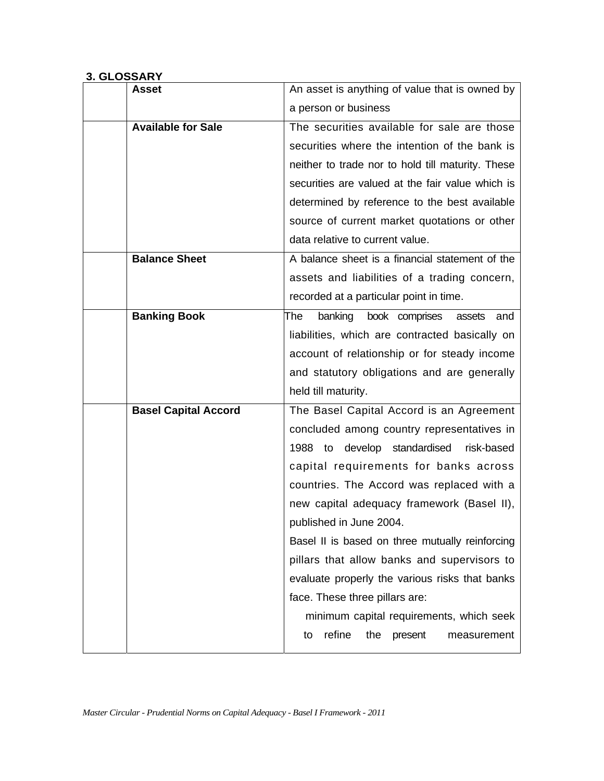## **3. GLOSSARY**

| Asset                       | An asset is anything of value that is owned by    |
|-----------------------------|---------------------------------------------------|
|                             | a person or business                              |
| <b>Available for Sale</b>   | The securities available for sale are those       |
|                             | securities where the intention of the bank is     |
|                             | neither to trade nor to hold till maturity. These |
|                             | securities are valued at the fair value which is  |
|                             | determined by reference to the best available     |
|                             | source of current market quotations or other      |
|                             | data relative to current value.                   |
| <b>Balance Sheet</b>        | A balance sheet is a financial statement of the   |
|                             | assets and liabilities of a trading concern,      |
|                             | recorded at a particular point in time.           |
| <b>Banking Book</b>         | banking book comprises<br>The<br>assets<br>and    |
|                             | liabilities, which are contracted basically on    |
|                             | account of relationship or for steady income      |
|                             | and statutory obligations and are generally       |
|                             | held till maturity.                               |
| <b>Basel Capital Accord</b> | The Basel Capital Accord is an Agreement          |
|                             | concluded among country representatives in        |
|                             | 1988 to develop standardised<br>risk-based        |
|                             | capital requirements for banks across             |
|                             | countries. The Accord was replaced with a         |
|                             | new capital adequacy framework (Basel II),        |
|                             | published in June 2004.                           |
|                             | Basel II is based on three mutually reinforcing   |
|                             | pillars that allow banks and supervisors to       |
|                             | evaluate properly the various risks that banks    |
|                             | face. These three pillars are:                    |
|                             | minimum capital requirements, which seek          |
|                             | refine<br>the<br>present<br>measurement<br>to     |
|                             |                                                   |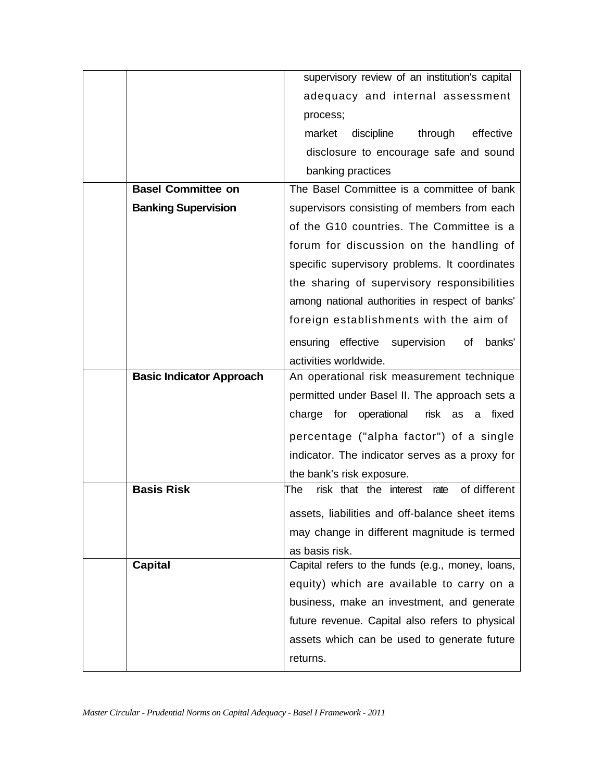|                                 | supervisory review of an institution's capital        |
|---------------------------------|-------------------------------------------------------|
|                                 | adequacy and internal assessment                      |
|                                 | process;                                              |
|                                 | through<br>effective<br>market<br>discipline          |
|                                 | disclosure to encourage safe and sound                |
|                                 | banking practices                                     |
| <b>Basel Committee on</b>       | The Basel Committee is a committee of bank            |
| <b>Banking Supervision</b>      | supervisors consisting of members from each           |
|                                 | of the G10 countries. The Committee is a              |
|                                 | forum for discussion on the handling of               |
|                                 | specific supervisory problems. It coordinates         |
|                                 | the sharing of supervisory responsibilities           |
|                                 | among national authorities in respect of banks'       |
|                                 | foreign establishments with the aim of                |
|                                 | ensuring effective supervision<br>of<br>banks'        |
|                                 | activities worldwide.                                 |
|                                 |                                                       |
| <b>Basic Indicator Approach</b> | An operational risk measurement technique             |
|                                 | permitted under Basel II. The approach sets a         |
|                                 | charge for operational<br>risk as a fixed             |
|                                 | percentage ("alpha factor") of a single               |
|                                 | indicator. The indicator serves as a proxy for        |
|                                 | the bank's risk exposure.                             |
| <b>Basis Risk</b>               | of different<br>risk that the interest<br>rate<br>The |
|                                 | assets, liabilities and off-balance sheet items       |
|                                 | may change in different magnitude is termed           |
|                                 | as basis risk.                                        |
| <b>Capital</b>                  | Capital refers to the funds (e.g., money, loans,      |
|                                 | equity) which are available to carry on a             |
|                                 | business, make an investment, and generate            |
|                                 | future revenue. Capital also refers to physical       |
|                                 | assets which can be used to generate future           |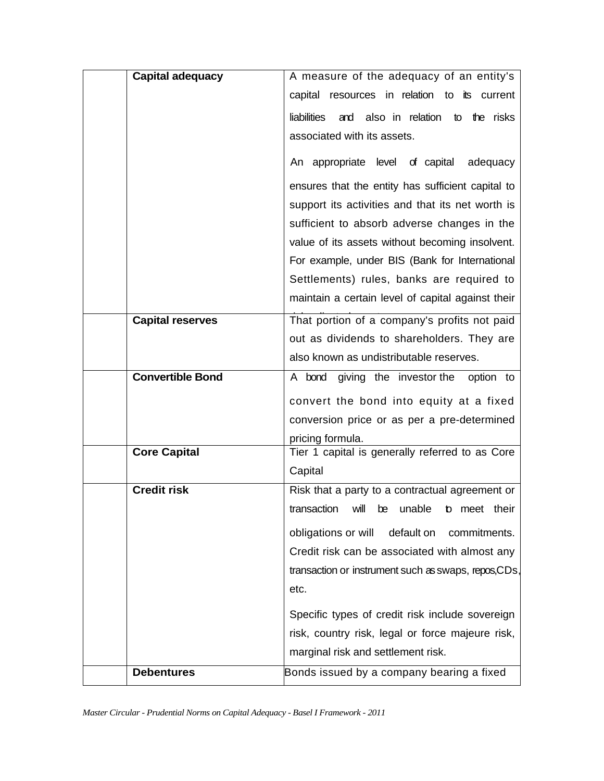| <b>Capital adequacy</b> | A measure of the adequacy of an entity's             |
|-------------------------|------------------------------------------------------|
|                         | capital resources in relation to its current         |
|                         | liabilities<br>and also in relation to the risks     |
|                         | associated with its assets.                          |
|                         | An appropriate level of capital<br>adequacy          |
|                         | ensures that the entity has sufficient capital to    |
|                         | support its activities and that its net worth is     |
|                         | sufficient to absorb adverse changes in the          |
|                         | value of its assets without becoming insolvent.      |
|                         | For example, under BIS (Bank for International       |
|                         | Settlements) rules, banks are required to            |
|                         | maintain a certain level of capital against their    |
| <b>Capital reserves</b> | That portion of a company's profits not paid         |
|                         | out as dividends to shareholders. They are           |
|                         | also known as undistributable reserves.              |
| <b>Convertible Bond</b> | giving the investor the<br>A bond<br>option to       |
|                         | convert the bond into equity at a fixed              |
|                         | conversion price or as per a pre-determined          |
|                         | pricing formula.                                     |
| <b>Core Capital</b>     | Tier 1 capital is generally referred to as Core      |
|                         | Capital                                              |
| <b>Credit risk</b>      | Risk that a party to a contractual agreement or      |
|                         | transaction will be unable to meet their             |
|                         | obligations or will<br>default on<br>commitments.    |
|                         | Credit risk can be associated with almost any        |
|                         | transaction or instrument such as swaps, repos, CDs, |
|                         | etc.                                                 |
|                         | Specific types of credit risk include sovereign      |
|                         | risk, country risk, legal or force majeure risk,     |
|                         | marginal risk and settlement risk.                   |
| <b>Debentures</b>       | Bonds issued by a company bearing a fixed            |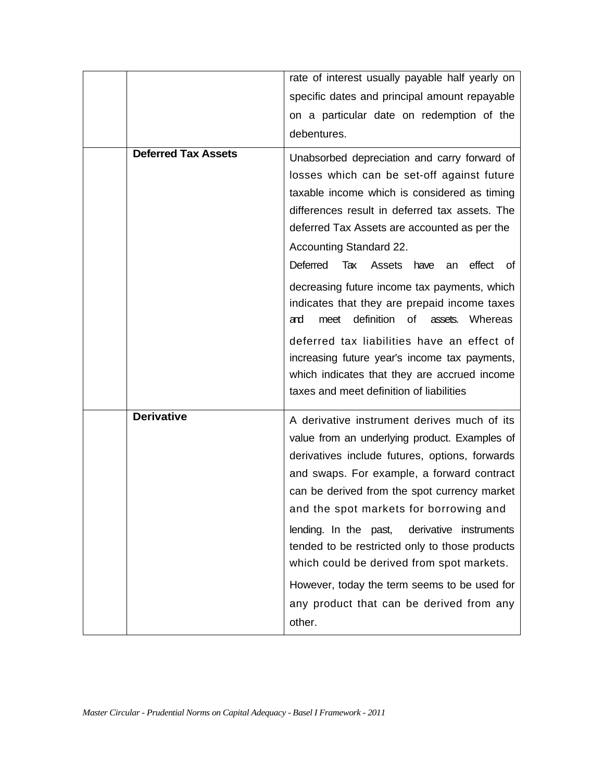|                            | rate of interest usually payable half yearly on<br>specific dates and principal amount repayable<br>on a particular date on redemption of the<br>debentures.                                                                                                                                                                                                                                                                                                                                                                                   |
|----------------------------|------------------------------------------------------------------------------------------------------------------------------------------------------------------------------------------------------------------------------------------------------------------------------------------------------------------------------------------------------------------------------------------------------------------------------------------------------------------------------------------------------------------------------------------------|
| <b>Deferred Tax Assets</b> | Unabsorbed depreciation and carry forward of<br>losses which can be set-off against future<br>taxable income which is considered as timing<br>differences result in deferred tax assets. The<br>deferred Tax Assets are accounted as per the<br><b>Accounting Standard 22.</b><br><b>Deferred</b><br>Assets<br>effect<br>Tax<br>have<br>an<br>of                                                                                                                                                                                               |
|                            | decreasing future income tax payments, which<br>indicates that they are prepaid income taxes<br>definition<br><b>of</b><br>Whereas<br>meet<br>assets.<br>and<br>deferred tax liabilities have an effect of<br>increasing future year's income tax payments,<br>which indicates that they are accrued income<br>taxes and meet definition of liabilities                                                                                                                                                                                        |
| <b>Derivative</b>          | A derivative instrument derives much of its<br>value from an underlying product. Examples of<br>derivatives include futures, options, forwards<br>and swaps. For example, a forward contract<br>can be derived from the spot currency market<br>and the spot markets for borrowing and<br>lending. In the past,<br>derivative instruments<br>tended to be restricted only to those products<br>which could be derived from spot markets.<br>However, today the term seems to be used for<br>any product that can be derived from any<br>other. |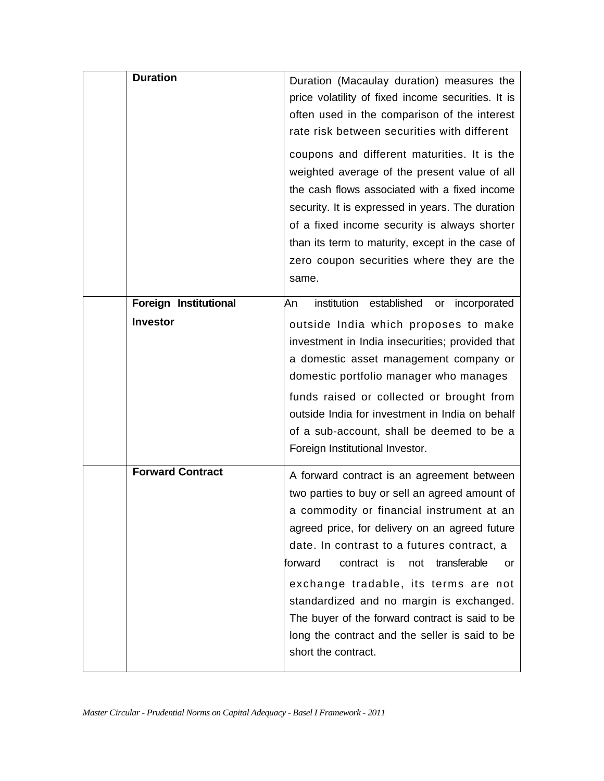| <b>Duration</b>                          | Duration (Macaulay duration) measures the<br>price volatility of fixed income securities. It is<br>often used in the comparison of the interest<br>rate risk between securities with different<br>coupons and different maturities. It is the<br>weighted average of the present value of all<br>the cash flows associated with a fixed income<br>security. It is expressed in years. The duration<br>of a fixed income security is always shorter<br>than its term to maturity, except in the case of<br>zero coupon securities where they are the<br>same. |
|------------------------------------------|--------------------------------------------------------------------------------------------------------------------------------------------------------------------------------------------------------------------------------------------------------------------------------------------------------------------------------------------------------------------------------------------------------------------------------------------------------------------------------------------------------------------------------------------------------------|
| Foreign Institutional<br><b>Investor</b> | institution established<br>An<br>incorporated<br>or<br>outside India which proposes to make<br>investment in India insecurities; provided that<br>a domestic asset management company or<br>domestic portfolio manager who manages<br>funds raised or collected or brought from<br>outside India for investment in India on behalf<br>of a sub-account, shall be deemed to be a<br>Foreign Institutional Investor.                                                                                                                                           |
| <b>Forward Contract</b>                  | A forward contract is an agreement between<br>two parties to buy or sell an agreed amount of<br>a commodity or financial instrument at an<br>agreed price, for delivery on an agreed future<br>date. In contrast to a futures contract, a<br>forward<br>contract is<br>transferable<br>not<br>or<br>exchange tradable, its terms are not<br>standardized and no margin is exchanged.<br>The buyer of the forward contract is said to be<br>long the contract and the seller is said to be<br>short the contract.                                             |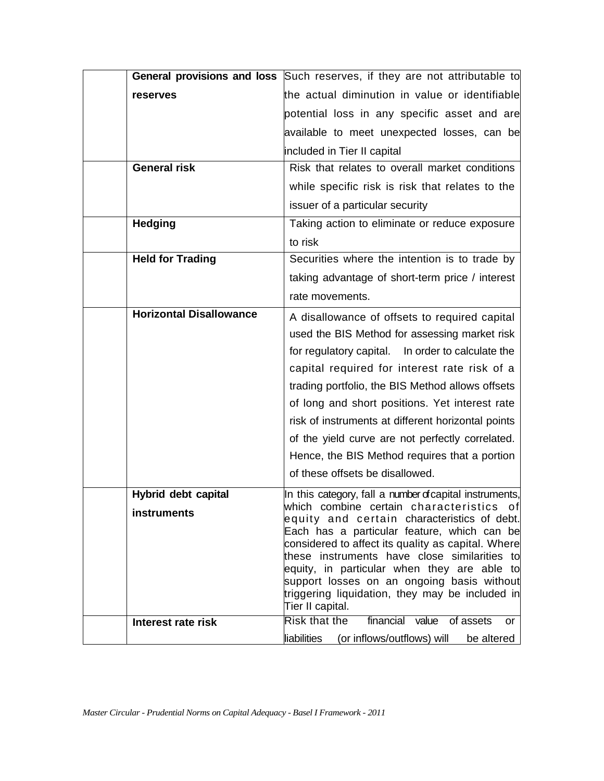|                                    | General provisions and loss Such reserves, if they are not attributable to                                                                                                                                                                                                                                                                                                                                                                                                                                 |
|------------------------------------|------------------------------------------------------------------------------------------------------------------------------------------------------------------------------------------------------------------------------------------------------------------------------------------------------------------------------------------------------------------------------------------------------------------------------------------------------------------------------------------------------------|
| reserves                           | the actual diminution in value or identifiable                                                                                                                                                                                                                                                                                                                                                                                                                                                             |
|                                    | potential loss in any specific asset and are                                                                                                                                                                                                                                                                                                                                                                                                                                                               |
|                                    | available to meet unexpected losses, can be                                                                                                                                                                                                                                                                                                                                                                                                                                                                |
|                                    | included in Tier II capital                                                                                                                                                                                                                                                                                                                                                                                                                                                                                |
| <b>General risk</b>                | Risk that relates to overall market conditions                                                                                                                                                                                                                                                                                                                                                                                                                                                             |
|                                    | while specific risk is risk that relates to the                                                                                                                                                                                                                                                                                                                                                                                                                                                            |
|                                    | issuer of a particular security                                                                                                                                                                                                                                                                                                                                                                                                                                                                            |
| <b>Hedging</b>                     | Taking action to eliminate or reduce exposure                                                                                                                                                                                                                                                                                                                                                                                                                                                              |
|                                    | to risk                                                                                                                                                                                                                                                                                                                                                                                                                                                                                                    |
| <b>Held for Trading</b>            | Securities where the intention is to trade by                                                                                                                                                                                                                                                                                                                                                                                                                                                              |
|                                    | taking advantage of short-term price / interest                                                                                                                                                                                                                                                                                                                                                                                                                                                            |
|                                    | rate movements.                                                                                                                                                                                                                                                                                                                                                                                                                                                                                            |
| <b>Horizontal Disallowance</b>     | A disallowance of offsets to required capital<br>used the BIS Method for assessing market risk<br>for regulatory capital.<br>In order to calculate the<br>capital required for interest rate risk of a<br>trading portfolio, the BIS Method allows offsets<br>of long and short positions. Yet interest rate<br>risk of instruments at different horizontal points<br>of the yield curve are not perfectly correlated.<br>Hence, the BIS Method requires that a portion<br>of these offsets be disallowed. |
| Hybrid debt capital<br>instruments | In this category, fall a number of capital instruments,<br>lwhich combine certain characteristics ofl<br>equity and certain characteristics of debt.<br>Each has a particular feature, which can be<br>considered to affect its quality as capital. Where<br>these instruments have close similarities to<br>equity, in particular when they are able to<br>support losses on an ongoing basis without<br>triggering liquidation, they may be included in<br>Tier II capital.                              |
| Interest rate risk                 | <b>Risk that the</b><br>financial value<br>of assets<br>or<br>liabilities<br>(or inflows/outflows) will<br>be altered                                                                                                                                                                                                                                                                                                                                                                                      |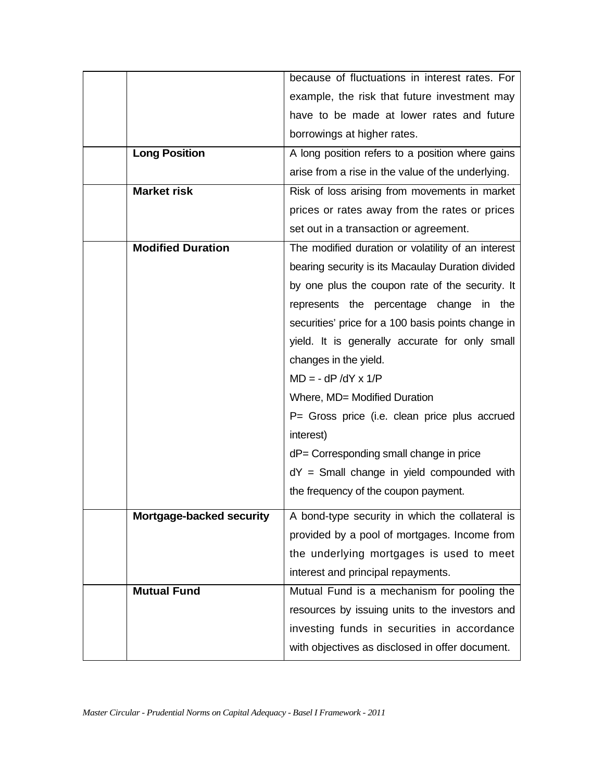|                          | because of fluctuations in interest rates. For     |
|--------------------------|----------------------------------------------------|
|                          | example, the risk that future investment may       |
|                          | have to be made at lower rates and future          |
|                          | borrowings at higher rates.                        |
| <b>Long Position</b>     | A long position refers to a position where gains   |
|                          | arise from a rise in the value of the underlying.  |
| <b>Market risk</b>       | Risk of loss arising from movements in market      |
|                          | prices or rates away from the rates or prices      |
|                          | set out in a transaction or agreement.             |
| <b>Modified Duration</b> | The modified duration or volatility of an interest |
|                          | bearing security is its Macaulay Duration divided  |
|                          | by one plus the coupon rate of the security. It    |
|                          | represents the percentage change in the            |
|                          | securities' price for a 100 basis points change in |
|                          | yield. It is generally accurate for only small     |
|                          | changes in the yield.                              |
|                          | $MD = - dP/dY \times 1/P$                          |
|                          | Where, MD= Modified Duration                       |
|                          | P= Gross price (i.e. clean price plus accrued      |
|                          | interest)                                          |
|                          | dP= Corresponding small change in price            |
|                          | $dY =$ Small change in yield compounded with       |
|                          | the frequency of the coupon payment.               |
| Mortgage-backed security | A bond-type security in which the collateral is    |
|                          | provided by a pool of mortgages. Income from       |
|                          | the underlying mortgages is used to meet           |
|                          | interest and principal repayments.                 |
| <b>Mutual Fund</b>       | Mutual Fund is a mechanism for pooling the         |
|                          | resources by issuing units to the investors and    |
|                          | investing funds in securities in accordance        |
|                          | with objectives as disclosed in offer document.    |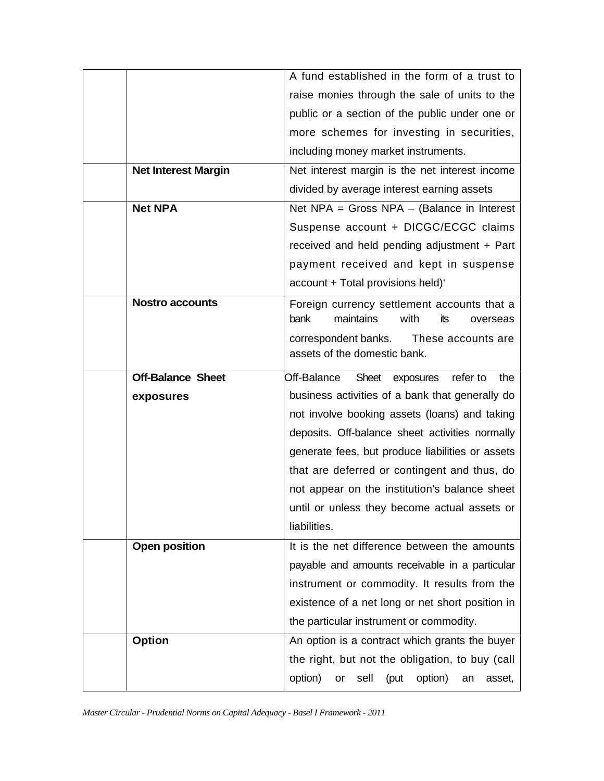|                            | A fund established in the form of a trust to                                                |
|----------------------------|---------------------------------------------------------------------------------------------|
|                            | raise monies through the sale of units to the                                               |
|                            | public or a section of the public under one or                                              |
|                            | more schemes for investing in securities,                                                   |
|                            | including money market instruments.                                                         |
| <b>Net Interest Margin</b> | Net interest margin is the net interest income                                              |
|                            | divided by average interest earning assets                                                  |
| <b>Net NPA</b>             | Net NPA = Gross NPA $-$ (Balance in Interest                                                |
|                            | Suspense account + DICGC/ECGC claims                                                        |
|                            | received and held pending adjustment + Part                                                 |
|                            | payment received and kept in suspense                                                       |
|                            | account + Total provisions held)'                                                           |
| <b>Nostro accounts</b>     | Foreign currency settlement accounts that a<br>bank<br>maintains<br>with<br>its<br>overseas |
|                            | correspondent banks.<br>These accounts are<br>assets of the domestic bank.                  |
| <b>Off-Balance Sheet</b>   | Off-Balance<br>refer to<br>the<br>Sheet exposures                                           |
| exposures                  | business activities of a bank that generally do                                             |
|                            | not involve booking assets (loans) and taking                                               |
|                            | deposits. Off-balance sheet activities normally                                             |
|                            | generate fees, but produce liabilities or assets                                            |
|                            | that are deferred or contingent and thus, do                                                |
|                            | not appear on the institution's balance sheet                                               |
|                            | until or unless they become actual assets or                                                |
|                            | liabilities.                                                                                |
| <b>Open position</b>       | It is the net difference between the amounts                                                |
|                            | payable and amounts receivable in a particular                                              |
|                            | instrument or commodity. It results from the                                                |
|                            | existence of a net long or net short position in                                            |
|                            | the particular instrument or commodity.                                                     |
| <b>Option</b>              | An option is a contract which grants the buyer                                              |
|                            | the right, but not the obligation, to buy (call                                             |
|                            | option)<br>sell<br>option)<br>(put<br>or<br>an<br>asset,                                    |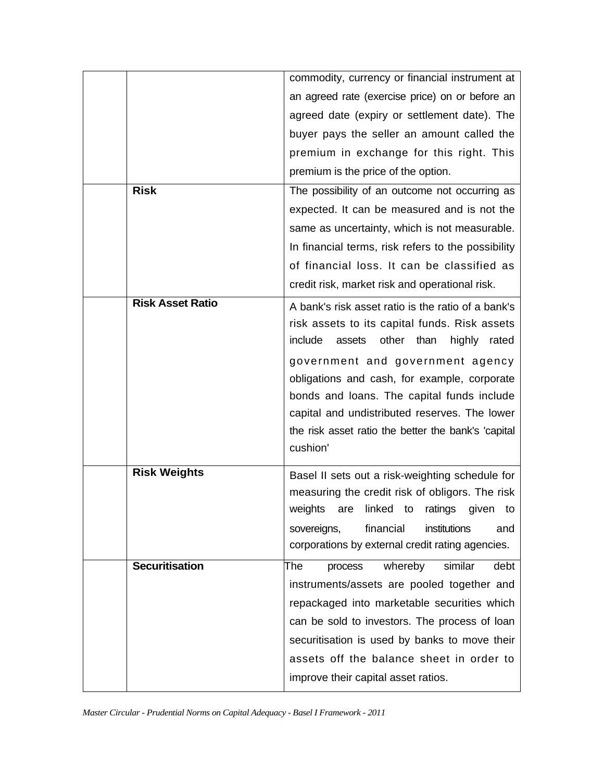|                         | commodity, currency or financial instrument at      |
|-------------------------|-----------------------------------------------------|
|                         | an agreed rate (exercise price) on or before an     |
|                         | agreed date (expiry or settlement date). The        |
|                         | buyer pays the seller an amount called the          |
|                         | premium in exchange for this right. This            |
|                         | premium is the price of the option.                 |
| <b>Risk</b>             | The possibility of an outcome not occurring as      |
|                         | expected. It can be measured and is not the         |
|                         | same as uncertainty, which is not measurable.       |
|                         | In financial terms, risk refers to the possibility  |
|                         | of financial loss. It can be classified as          |
|                         | credit risk, market risk and operational risk.      |
| <b>Risk Asset Ratio</b> | A bank's risk asset ratio is the ratio of a bank's  |
|                         | risk assets to its capital funds. Risk assets       |
|                         | other than<br>include<br>assets<br>highly<br>rated  |
|                         | government and government agency                    |
|                         | obligations and cash, for example, corporate        |
|                         | bonds and loans. The capital funds include          |
|                         | capital and undistributed reserves. The lower       |
|                         | the risk asset ratio the better the bank's 'capital |
|                         | cushion'                                            |
| <b>Risk Weights</b>     | Basel II sets out a risk-weighting schedule for     |
|                         | measuring the credit risk of obligors. The risk     |
|                         | weights are linked to ratings given to              |
|                         | sovereigns,<br>financial<br>institutions<br>and     |
|                         | corporations by external credit rating agencies.    |
| <b>Securitisation</b>   | whereby<br>similar<br>debt<br>The<br>process        |
|                         | instruments/assets are pooled together and          |
|                         | repackaged into marketable securities which         |
|                         | can be sold to investors. The process of loan       |
|                         | securitisation is used by banks to move their       |
|                         | assets off the balance sheet in order to            |
|                         | improve their capital asset ratios.                 |
|                         |                                                     |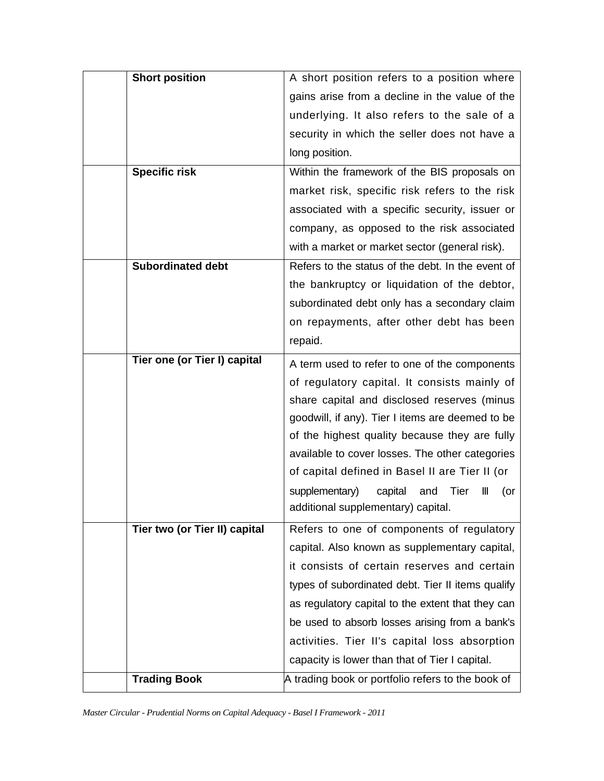| <b>Short position</b>         | A short position refers to a position where       |
|-------------------------------|---------------------------------------------------|
|                               | gains arise from a decline in the value of the    |
|                               | underlying. It also refers to the sale of a       |
|                               | security in which the seller does not have a      |
|                               | long position.                                    |
| <b>Specific risk</b>          | Within the framework of the BIS proposals on      |
|                               | market risk, specific risk refers to the risk     |
|                               | associated with a specific security, issuer or    |
|                               | company, as opposed to the risk associated        |
|                               | with a market or market sector (general risk).    |
| <b>Subordinated debt</b>      | Refers to the status of the debt. In the event of |
|                               | the bankruptcy or liquidation of the debtor,      |
|                               | subordinated debt only has a secondary claim      |
|                               | on repayments, after other debt has been          |
|                               | repaid.                                           |
| Tier one (or Tier I) capital  | A term used to refer to one of the components     |
|                               | of regulatory capital. It consists mainly of      |
|                               | share capital and disclosed reserves (minus       |
|                               | goodwill, if any). Tier I items are deemed to be  |
|                               | of the highest quality because they are fully     |
|                               | available to cover losses. The other categories   |
|                               | of capital defined in Basel II are Tier II (or    |
|                               | supplementary)<br>capital<br>Tier<br>and<br>(or   |
|                               | additional supplementary) capital.                |
| Tier two (or Tier II) capital | Refers to one of components of regulatory         |
|                               | capital. Also known as supplementary capital,     |
|                               | it consists of certain reserves and certain       |
|                               | types of subordinated debt. Tier II items qualify |
|                               | as regulatory capital to the extent that they can |
|                               | be used to absorb losses arising from a bank's    |
|                               | activities. Tier II's capital loss absorption     |
|                               |                                                   |
|                               | capacity is lower than that of Tier I capital.    |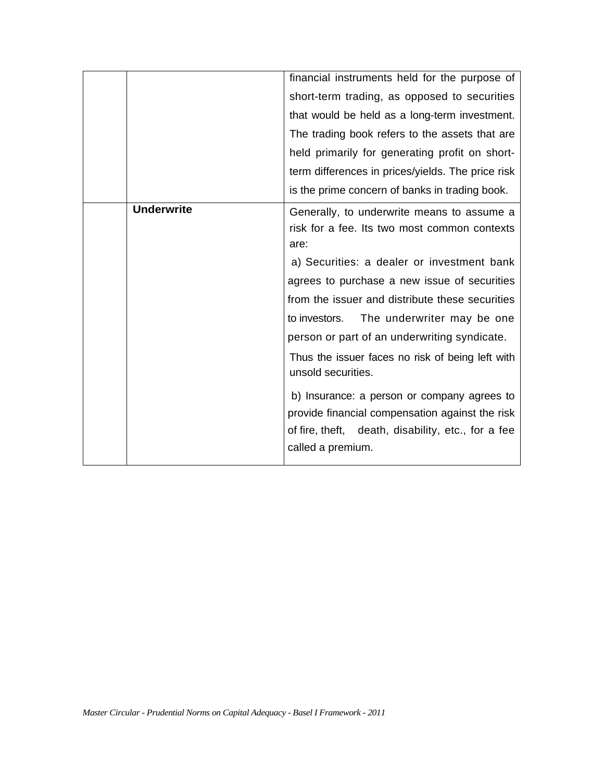|                   | financial instruments held for the purpose of                          |
|-------------------|------------------------------------------------------------------------|
|                   | short-term trading, as opposed to securities                           |
|                   | that would be held as a long-term investment.                          |
|                   | The trading book refers to the assets that are                         |
|                   | held primarily for generating profit on short-                         |
|                   | term differences in prices/yields. The price risk                      |
|                   | is the prime concern of banks in trading book.                         |
| <b>Underwrite</b> | Generally, to underwrite means to assume a                             |
|                   | risk for a fee. Its two most common contexts                           |
|                   | are:                                                                   |
|                   | a) Securities: a dealer or investment bank                             |
|                   | agrees to purchase a new issue of securities                           |
|                   | from the issuer and distribute these securities                        |
|                   | to investors.<br>The underwriter may be one                            |
|                   | person or part of an underwriting syndicate.                           |
|                   | Thus the issuer faces no risk of being left with<br>unsold securities. |
|                   | b) Insurance: a person or company agrees to                            |
|                   | provide financial compensation against the risk                        |
|                   | of fire, theft, death, disability, etc., for a fee                     |
|                   | called a premium.                                                      |